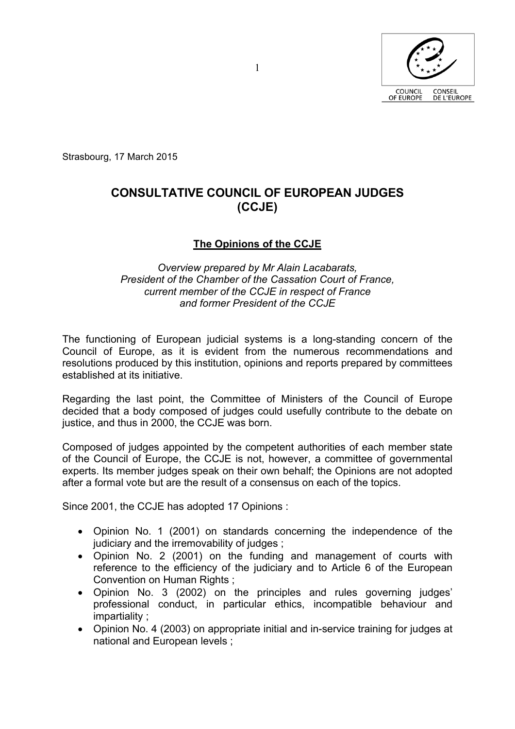

Strasbourg, 17 March 2015

# **CONSULTATIVE COUNCIL OF EUROPEAN JUDGES (CCJE)**

## **The Opinions of the CCJE**

#### *Overview prepared by Mr Alain Lacabarats, President of the Chamber of the Cassation Court of France, current member of the CCJE in respect of France and former President of the CCJE*

The functioning of European judicial systems is a long-standing concern of the Council of Europe, as it is evident from the numerous recommendations and resolutions produced by this institution, opinions and reports prepared by committees established at its initiative.

Regarding the last point, the Committee of Ministers of the Council of Europe decided that a body composed of judges could usefully contribute to the debate on justice, and thus in 2000, the CCJE was born.

Composed of judges appointed by the competent authorities of each member state of the Council of Europe, the CCJE is not, however, a committee of governmental experts. Its member judges speak on their own behalf; the Opinions are not adopted after a formal vote but are the result of a consensus on each of the topics.

Since 2001, the CCJE has adopted 17 Opinions :

- Opinion No. 1 (2001) on standards concerning the independence of the judiciary and the irremovability of judges ;
- Opinion No. 2 (2001) on the funding and management of courts with reference to the efficiency of the judiciary and to Article 6 of the European Convention on Human Rights ;
- Opinion No. 3 (2002) on the principles and rules governing judges' professional conduct, in particular ethics, incompatible behaviour and impartiality ;
- Opinion No. 4 (2003) on appropriate initial and in-service training for judges at national and European levels ;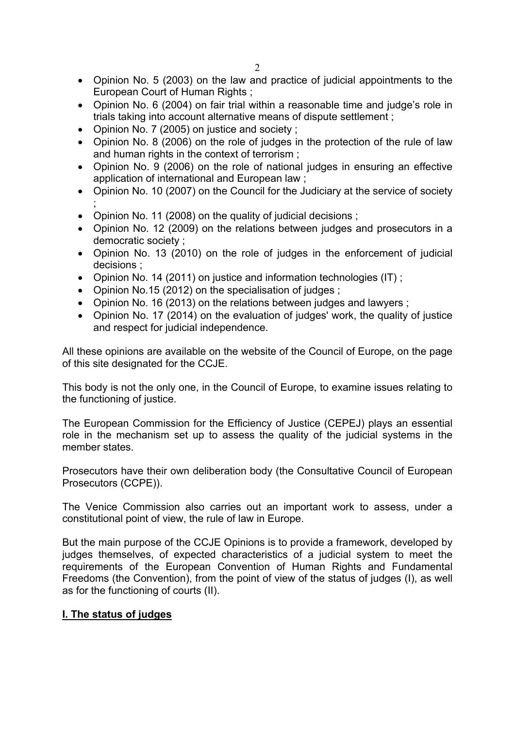- Opinion No. 5 (2003) on the law and practice of judicial appointments to the European Court of Human Rights:
- Opinion No. 6 (2004) on fair trial within a reasonable time and judge's role in trials taking into account alternative means of dispute settlement ;
- Opinion No. 7 (2005) on justice and society ;
- Opinion No. 8 (2006) on the role of judges in the protection of the rule of law and human rights in the context of terrorism ;
- Opinion No. 9 (2006) on the role of national judges in ensuring an effective application of international and European law ;
- Opinion No. 10 (2007) on the Council for the Judiciary at the service of society ;
- Opinion No. 11 (2008) on the quality of judicial decisions ;
- Opinion No. 12 (2009) on the relations between judges and prosecutors in a democratic society ;
- Opinion No. 13 (2010) on the role of judges in the enforcement of judicial decisions ;
- Opinion No. 14 (2011) on justice and information technologies (IT);
- Opinion No.15 (2012) on the specialisation of judges;
- Opinion No. 16 (2013) on the relations between judges and lawyers ;
- Opinion No. 17 (2014) on the evaluation of judges' work, the quality of justice and respect for judicial independence.

All these opinions are available on the website of the Council of Europe, on the page of this site designated for the CCJE.

This body is not the only one, in the Council of Europe, to examine issues relating to the functioning of justice.

The European Commission for the Efficiency of Justice (CEPEJ) plays an essential role in the mechanism set up to assess the quality of the judicial systems in the member states.

Prosecutors have their own deliberation body (the Consultative Council of European Prosecutors (CCPE)).

The Venice Commission also carries out an important work to assess, under a constitutional point of view, the rule of law in Europe.

But the main purpose of the CCJE Opinions is to provide a framework, developed by judges themselves, of expected characteristics of a judicial system to meet the requirements of the European Convention of Human Rights and Fundamental Freedoms (the Convention), from the point of view of the status of judges (I), as well as for the functioning of courts (II).

## **I. The status of judges**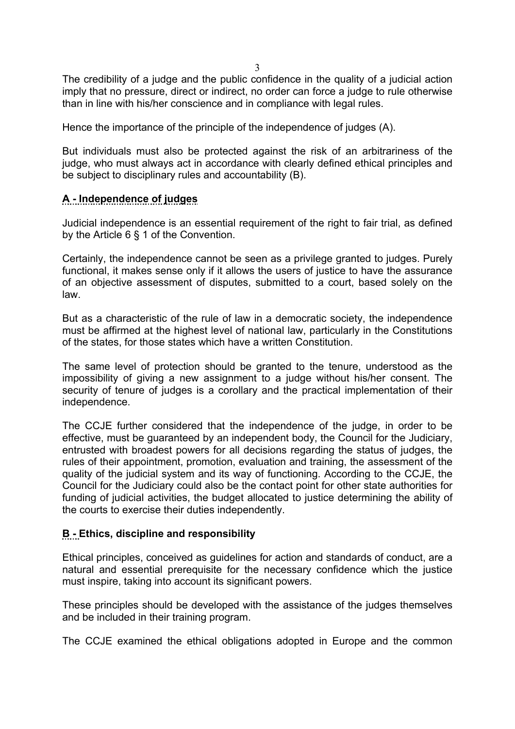3

The credibility of a judge and the public confidence in the quality of a judicial action imply that no pressure, direct or indirect, no order can force a judge to rule otherwise than in line with his/her conscience and in compliance with legal rules.

Hence the importance of the principle of the independence of judges (A).

But individuals must also be protected against the risk of an arbitrariness of the judge, who must always act in accordance with clearly defined ethical principles and be subject to disciplinary rules and accountability (B).

#### **A - Independence of judges**

Judicial independence is an essential requirement of the right to fair trial, as defined by the Article 6 § 1 of the Convention.

Certainly, the independence cannot be seen as a privilege granted to judges. Purely functional, it makes sense only if it allows the users of justice to have the assurance of an objective assessment of disputes, submitted to a court, based solely on the law.

But as a characteristic of the rule of law in a democratic society, the independence must be affirmed at the highest level of national law, particularly in the Constitutions of the states, for those states which have a written Constitution.

The same level of protection should be granted to the tenure, understood as the impossibility of giving a new assignment to a judge without his/her consent. The security of tenure of judges is a corollary and the practical implementation of their independence.

The CCJE further considered that the independence of the judge, in order to be effective, must be guaranteed by an independent body, the Council for the Judiciary, entrusted with broadest powers for all decisions regarding the status of judges, the rules of their appointment, promotion, evaluation and training, the assessment of the quality of the judicial system and its way of functioning. According to the CCJE, the Council for the Judiciary could also be the contact point for other state authorities for funding of judicial activities, the budget allocated to justice determining the ability of the courts to exercise their duties independently.

#### **B - Ethics, discipline and responsibility**

Ethical principles, conceived as guidelines for action and standards of conduct, are a natural and essential prerequisite for the necessary confidence which the justice must inspire, taking into account its significant powers.

These principles should be developed with the assistance of the judges themselves and be included in their training program.

The CCJE examined the ethical obligations adopted in Europe and the common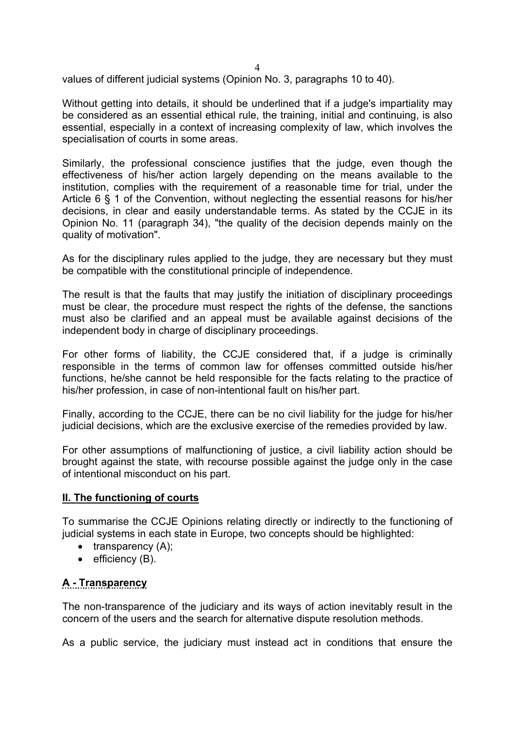values of different judicial systems (Opinion No. 3, paragraphs 10 to 40).

Without getting into details, it should be underlined that if a judge's impartiality may be considered as an essential ethical rule, the training, initial and continuing, is also essential, especially in a context of increasing complexity of law, which involves the specialisation of courts in some areas.

Similarly, the professional conscience justifies that the judge, even though the effectiveness of his/her action largely depending on the means available to the institution, complies with the requirement of a reasonable time for trial, under the Article 6 § 1 of the Convention, without neglecting the essential reasons for his/her decisions, in clear and easily understandable terms. As stated by the CCJE in its Opinion No. 11 (paragraph 34), "the quality of the decision depends mainly on the quality of motivation".

As for the disciplinary rules applied to the judge, they are necessary but they must be compatible with the constitutional principle of independence.

The result is that the faults that may justify the initiation of disciplinary proceedings must be clear, the procedure must respect the rights of the defense, the sanctions must also be clarified and an appeal must be available against decisions of the independent body in charge of disciplinary proceedings.

For other forms of liability, the CCJE considered that, if a judge is criminally responsible in the terms of common law for offenses committed outside his/her functions, he/she cannot be held responsible for the facts relating to the practice of his/her profession, in case of non-intentional fault on his/her part.

Finally, according to the CCJE, there can be no civil liability for the judge for his/her judicial decisions, which are the exclusive exercise of the remedies provided by law.

For other assumptions of malfunctioning of justice, a civil liability action should be brought against the state, with recourse possible against the judge only in the case of intentional misconduct on his part.

#### **II. The functioning of courts**

To summarise the CCJE Opinions relating directly or indirectly to the functioning of judicial systems in each state in Europe, two concepts should be highlighted:

- $\bullet$  transparency (A);
- $\bullet$  efficiency (B).

## **A - Transparency**

The non-transparence of the judiciary and its ways of action inevitably result in the concern of the users and the search for alternative dispute resolution methods.

As a public service, the judiciary must instead act in conditions that ensure the

4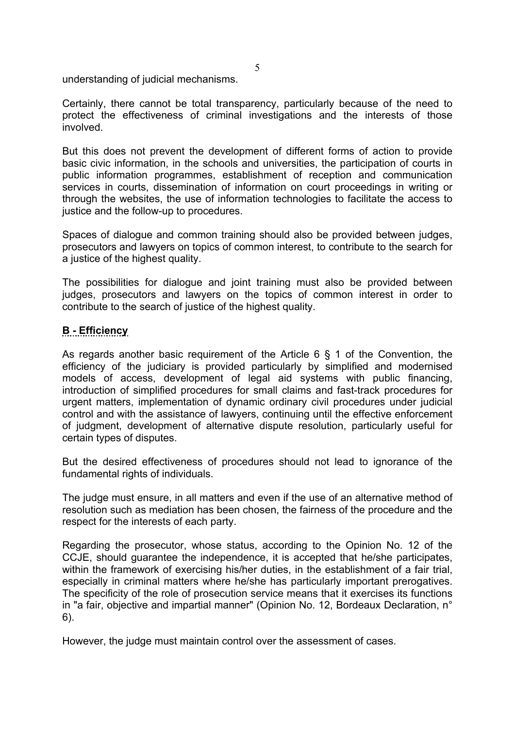understanding of judicial mechanisms.

Certainly, there cannot be total transparency, particularly because of the need to protect the effectiveness of criminal investigations and the interests of those involved.

But this does not prevent the development of different forms of action to provide basic civic information, in the schools and universities, the participation of courts in public information programmes, establishment of reception and communication services in courts, dissemination of information on court proceedings in writing or through the websites, the use of information technologies to facilitate the access to justice and the follow-up to procedures.

Spaces of dialogue and common training should also be provided between judges, prosecutors and lawyers on topics of common interest, to contribute to the search for a justice of the highest quality.

The possibilities for dialogue and joint training must also be provided between judges, prosecutors and lawyers on the topics of common interest in order to contribute to the search of justice of the highest quality.

### **B - Efficiency**

As regards another basic requirement of the Article 6 § 1 of the Convention, the efficiency of the judiciary is provided particularly by simplified and modernised models of access, development of legal aid systems with public financing, introduction of simplified procedures for small claims and fast-track procedures for urgent matters, implementation of dynamic ordinary civil procedures under judicial control and with the assistance of lawyers, continuing until the effective enforcement of judgment, development of alternative dispute resolution, particularly useful for certain types of disputes.

But the desired effectiveness of procedures should not lead to ignorance of the fundamental rights of individuals.

The judge must ensure, in all matters and even if the use of an alternative method of resolution such as mediation has been chosen, the fairness of the procedure and the respect for the interests of each party.

Regarding the prosecutor, whose status, according to the Opinion No. 12 of the CCJE, should guarantee the independence, it is accepted that he/she participates, within the framework of exercising his/her duties, in the establishment of a fair trial, especially in criminal matters where he/she has particularly important prerogatives. The specificity of the role of prosecution service means that it exercises its functions in "a fair, objective and impartial manner" (Opinion No. 12, Bordeaux Declaration, n° 6).

However, the judge must maintain control over the assessment of cases.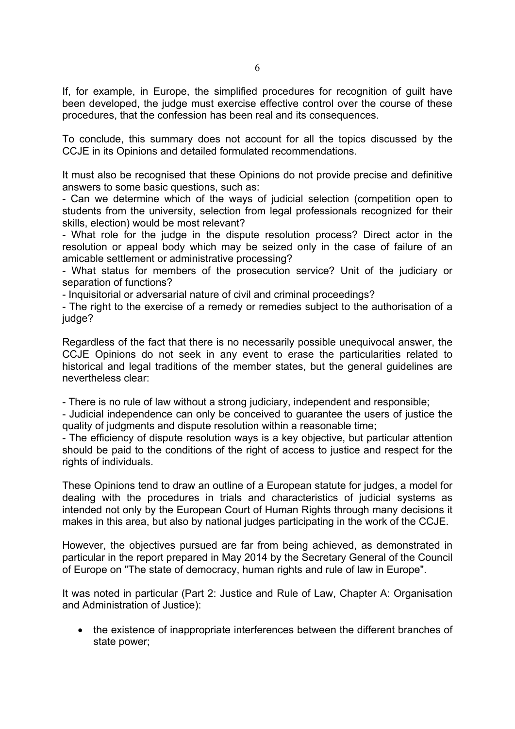If, for example, in Europe, the simplified procedures for recognition of guilt have been developed, the judge must exercise effective control over the course of these procedures, that the confession has been real and its consequences.

To conclude, this summary does not account for all the topics discussed by the CCJE in its Opinions and detailed formulated recommendations.

It must also be recognised that these Opinions do not provide precise and definitive answers to some basic questions, such as:

- Can we determine which of the ways of judicial selection (competition open to students from the university, selection from legal professionals recognized for their skills, election) would be most relevant?

- What role for the judge in the dispute resolution process? Direct actor in the resolution or appeal body which may be seized only in the case of failure of an amicable settlement or administrative processing?

- What status for members of the prosecution service? Unit of the judiciary or separation of functions?

- Inquisitorial or adversarial nature of civil and criminal proceedings?

- The right to the exercise of a remedy or remedies subject to the authorisation of a judge?

Regardless of the fact that there is no necessarily possible unequivocal answer, the CCJE Opinions do not seek in any event to erase the particularities related to historical and legal traditions of the member states, but the general guidelines are nevertheless clear:

- There is no rule of law without a strong judiciary, independent and responsible;

- Judicial independence can only be conceived to guarantee the users of justice the quality of judgments and dispute resolution within a reasonable time;

- The efficiency of dispute resolution ways is a key objective, but particular attention should be paid to the conditions of the right of access to justice and respect for the rights of individuals.

These Opinions tend to draw an outline of a European statute for judges, a model for dealing with the procedures in trials and characteristics of judicial systems as intended not only by the European Court of Human Rights through many decisions it makes in this area, but also by national judges participating in the work of the CCJE.

However, the objectives pursued are far from being achieved, as demonstrated in particular in the report prepared in May 2014 by the Secretary General of the Council of Europe on "The state of democracy, human rights and rule of law in Europe".

It was noted in particular (Part 2: Justice and Rule of Law, Chapter A: Organisation and Administration of Justice):

• the existence of inappropriate interferences between the different branches of state power;